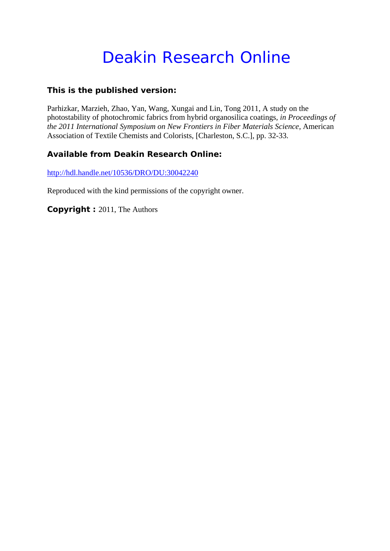# Deakin Research Online

### **This is the published version:**

Parhizkar, Marzieh, Zhao, Yan, Wang, Xungai and Lin, Tong 2011, A study on the photostability of photochromic fabrics from hybrid organosilica coatings*, in Proceedings of the 2011 International Symposium on New Frontiers in Fiber Materials Science*, American Association of Textile Chemists and Colorists, [Charleston, S.C.], pp. 32-33.

## **Available from Deakin Research Online:**

http://hdl.handle.net/10536/DRO/DU:30042240

Reproduced with the kind permissions of the copyright owner.

**Copyright :** 2011, The Authors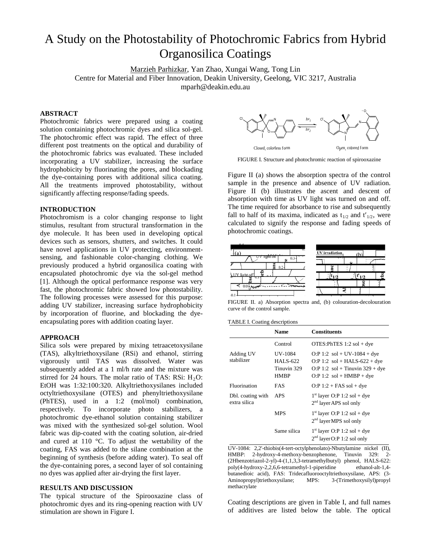# A Study on the Photostability of Photochromic Fabrics from Hybrid Organosilica Coatings

Marzieh Parhizkar, Yan Zhao, Xungai Wang, Tong Lin Centre for Material and Fiber Innovation, Deakin University, Geelong, VIC 3217, Australia [mparh@deakin.edu.au](mailto:mparh@deakin.edu.au)

#### **ABSTRACT**

Photochromic fabrics were prepared using a coating solution containing photochromic dyes and silica sol-gel. The photochromic effect was rapid. The effect of three different post treatments on the optical and durability of the photochromic fabrics was evaluated. These included incorporating a UV stabilizer, increasing the surface hydrophobicity by fluorinating the pores, and blockading the dye-containing pores with additional silica coating. All the treatments improved photostability, without significantly affecting response/fading speeds.

#### **INTRODUCTION**

Photochromism is a color changing response to light stimulus, resultant from structural transformation in the dye molecule. It has been used in developing optical devices such as sensors, shutters, and switches. It could have novel applications in UV protecting, environmentsensing, and fashionable color-changing clothing. We previously produced a hybrid organosilica coating with encapsulated photochromic dye via the sol-gel method [\[1\]](#page-2-0). Although the optical performance response was very fast, the photochromic fabric showed low photostability. The following processes were assessed for this purpose: adding UV stabilizer, increasing surface hydrophobicity by incorporation of fluorine, and blockading the dyeencapsulating pores with addition coating layer.

#### **APPROACH**

Silica sols were prepared by mixing tetraacetoxysilane (TAS), alkyltriethoxysilane (RSi) and ethanol, stirring vigorously until TAS was dissolved. Water was subsequently added at a 1 ml/h rate and the mixture was stirred for 24 hours. The molar ratio of TAS: RSi:  $H_2O$ : EtOH was 1:32:100:320. Alkyltriethoxysilanes included octyltriethoxysilane (OTES) and phenyltriethoxysilane (PhTES), used in a 1:2 (mol/mol) combination, respectively. To incorporate photo stabilizers, a photochromic dye-ethanol solution containing stabilizer was mixed with the synthesized sol-gel solution. Wool fabric was dip-coated with the coating solution, air-dried and cured at 110 °C. To adjust the wettability of the coating, FAS was added to the silane combination at the beginning of synthesis (before adding water). To seal off the dye-containing pores, a second layer of sol containing no dyes was applied after air-drying the first layer.

#### **RESULTS AND DISCUSSION**

The typical structure of the Spirooxazine class of photochromic dyes and its ring-opening reaction with UV stimulation are shown in Figure I.



FIGURE I. Structure and photochromic reaction of spirooxazine

Figure II (a) shows the absorption spectra of the control sample in the presence and absence of UV radiation. Figure II (b) illustrates the ascent and descent of absorption with time as UV light was turned on and off. The time required for absorbance to rise and subsequently fall to half of its maxima, indicated as  $t_{1/2}$  and  $t'_{1/2}$ , were calculated to signify the response and fading speeds of photochromic coatings.



FIGURE II. a) Absorption spectra and, (b) colouration-decolouration curve of the control sample.

| <b>TABLE I. Coating descriptions</b> |  |
|--------------------------------------|--|
|--------------------------------------|--|

|                                   | <b>Name</b>                                                     | <b>Constituents</b>                                                                                                                    |
|-----------------------------------|-----------------------------------------------------------------|----------------------------------------------------------------------------------------------------------------------------------------|
|                                   | Control                                                         | OTES: PhTES $1:2$ sol + dye                                                                                                            |
| Adding UV<br>stabilizer           | <b>UV-1084</b><br><b>HALS-622</b><br>Tinuvin 329<br><b>HMBP</b> | $O: P 1:2$ sol + UV-1084 + dye<br>$O: P 1:2$ sol + HALS-622 + dye<br>$O: P 1:2$ sol + Tinuvin 329 + dye<br>$O: P 1:2$ sol + HMBP + dye |
| Fluorination                      | FAS                                                             | $O:P 1:2 + FAS$ sol + dye                                                                                                              |
| Dbl. coating with<br>extra silica | APS                                                             | $1st$ layer O:P 1:2 sol + dye<br>$2nd$ layer APS sol only                                                                              |
|                                   | <b>MPS</b>                                                      | $1st$ layer O:P 1:2 sol + dye<br>$2nd$ layer MPS sol only                                                                              |
|                                   | Same silica                                                     | $1st$ layer O:P 1:2 sol + dye<br>$2nd$ layer O:P 1:2 sol only                                                                          |

UV-1084: 2,2'-thiobis(4-tert-octylphenolato)-Nbutylamine nickel (II), HMBP: 2-hydroxy-4-methoxy-benzophenone, Tinuvin 329: 2- (2Hbenzotriazol-2-yl)-4-(1,1,3,3-tetramethylbutyl) phenol, HALS-622: poly(4-hydroxy-2,2,6,6-tetramethyl-1-piperidine ethanol-alt-1,4 butanedioic acid), FAS: Tridecafluorooctyltriethoxysilane, APS: (3- Aminopropyl)triethoxysilane; MPS: 3-(Trimethoxysilyl)propyl methacrylate

Coating descriptions are given in Table I, and full names of additives are listed below the table. The optical